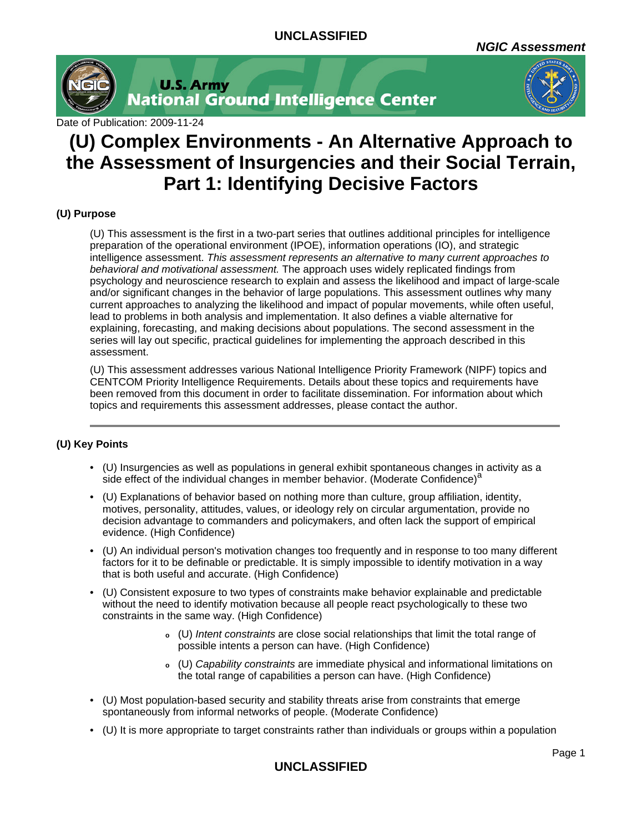**NGIC Assessment**



**U.S. Army<br>National Ground Intelligence Center** 



Date of Publication: 2009-11-24

# **(U) Complex Environments - An Alternative Approach to the Assessment of Insurgencies and their Social Terrain, Part 1: Identifying Decisive Factors**

# **(U) Purpose**

(U) This assessment is the first in a two-part series that outlines additional principles for intelligence preparation of the operational environment (IPOE), information operations (IO), and strategic intelligence assessment. This assessment represents an alternative to many current approaches to behavioral and motivational assessment. The approach uses widely replicated findings from psychology and neuroscience research to explain and assess the likelihood and impact of large-scale and/or significant changes in the behavior of large populations. This assessment outlines why many current approaches to analyzing the likelihood and impact of popular movements, while often useful, lead to problems in both analysis and implementation. It also defines a viable alternative for explaining, forecasting, and making decisions about populations. The second assessment in the series will lay out specific, practical guidelines for implementing the approach described in this assessment.

(U) This assessment addresses various National Intelligence Priority Framework (NIPF) topics and CENTCOM Priority Intelligence Requirements. Details about these topics and requirements have been removed from this document in order to facilitate dissemination. For information about which topics and requirements this assessment addresses, please contact the author.

## **(U) Key Points**

- (U) Insurgencies as well as populations in general exhibit spontaneous changes in activity as a side effect of the individual changes in member behavior. (Moderate Confidence)<sup>a</sup>
- (U) Explanations of behavior based on nothing more than culture, group affiliation, identity, motives, personality, attitudes, values, or ideology rely on circular argumentation, provide no decision advantage to commanders and policymakers, and often lack the support of empirical evidence. (High Confidence)
- (U) An individual person's motivation changes too frequently and in response to too many different factors for it to be definable or predictable. It is simply impossible to identify motivation in a way that is both useful and accurate. (High Confidence)
- (U) Consistent exposure to two types of constraints make behavior explainable and predictable without the need to identify motivation because all people react psychologically to these two constraints in the same way. (High Confidence)
	- **<sup>o</sup>** (U) Intent constraints are close social relationships that limit the total range of possible intents a person can have. (High Confidence)
	- **<sup>o</sup>** (U) Capability constraints are immediate physical and informational limitations on the total range of capabilities a person can have. (High Confidence)
- (U) Most population-based security and stability threats arise from constraints that emerge spontaneously from informal networks of people. (Moderate Confidence)
- (U) It is more appropriate to target constraints rather than individuals or groups within a population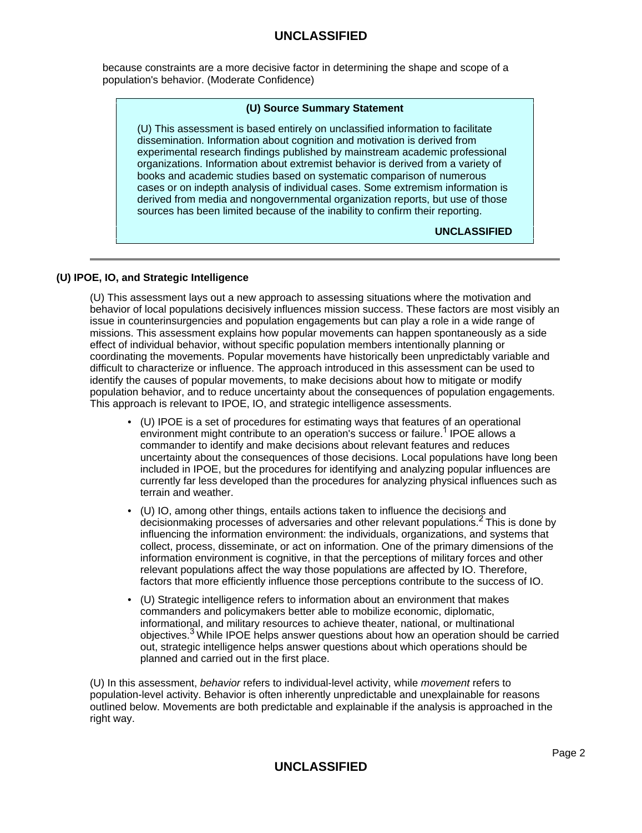because constraints are a more decisive factor in determining the shape and scope of a population's behavior. (Moderate Confidence)

### **(U) Source Summary Statement**

(U) This assessment is based entirely on unclassified information to facilitate dissemination. Information about cognition and motivation is derived from experimental research findings published by mainstream academic professional organizations. Information about extremist behavior is derived from a variety of books and academic studies based on systematic comparison of numerous cases or on indepth analysis of individual cases. Some extremism information is derived from media and nongovernmental organization reports, but use of those sources has been limited because of the inability to confirm their reporting.

**UNCLASSIFIED**

## **(U) IPOE, IO, and Strategic Intelligence**

(U) This assessment lays out a new approach to assessing situations where the motivation and behavior of local populations decisively influences mission success. These factors are most visibly an issue in counterinsurgencies and population engagements but can play a role in a wide range of missions. This assessment explains how popular movements can happen spontaneously as a side effect of individual behavior, without specific population members intentionally planning or coordinating the movements. Popular movements have historically been unpredictably variable and difficult to characterize or influence. The approach introduced in this assessment can be used to identify the causes of popular movements, to make decisions about how to mitigate or modify population behavior, and to reduce uncertainty about the consequences of population engagements. This approach is relevant to IPOE, IO, and strategic intelligence assessments.

- (U) IPOE is a set of procedures for estimating ways that features of an operational environment might contribute to an operation's success or failure.<sup>1</sup> IPOE allows a commander to identify and make decisions about relevant features and reduces uncertainty about the consequences of those decisions. Local populations have long been included in IPOE, but the procedures for identifying and analyzing popular influences are currently far less developed than the procedures for analyzing physical influences such as terrain and weather.
- (U) IO, among other things, entails actions taken to influence the decisions and decisionmaking processes of adversaries and other relevant populations.2 This is done by influencing the information environment: the individuals, organizations, and systems that collect, process, disseminate, or act on information. One of the primary dimensions of the information environment is cognitive, in that the perceptions of military forces and other relevant populations affect the way those populations are affected by IO. Therefore, factors that more efficiently influence those perceptions contribute to the success of IO.
- (U) Strategic intelligence refers to information about an environment that makes commanders and policymakers better able to mobilize economic, diplomatic, informational, and military resources to achieve theater, national, or multinational objectives.3 While IPOE helps answer questions about how an operation should be carried out, strategic intelligence helps answer questions about which operations should be planned and carried out in the first place.

(U) In this assessment, behavior refers to individual-level activity, while movement refers to population-level activity. Behavior is often inherently unpredictable and unexplainable for reasons outlined below. Movements are both predictable and explainable if the analysis is approached in the right way.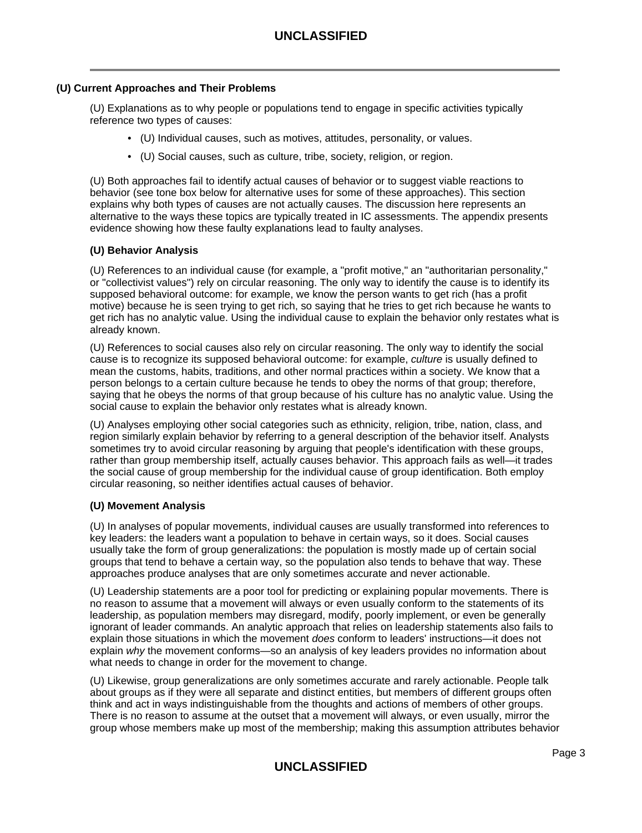### **(U) Current Approaches and Their Problems**

(U) Explanations as to why people or populations tend to engage in specific activities typically reference two types of causes:

- (U) Individual causes, such as motives, attitudes, personality, or values.
- (U) Social causes, such as culture, tribe, society, religion, or region.

(U) Both approaches fail to identify actual causes of behavior or to suggest viable reactions to behavior (see tone box below for alternative uses for some of these approaches). This section explains why both types of causes are not actually causes. The discussion here represents an alternative to the ways these topics are typically treated in IC assessments. The appendix presents evidence showing how these faulty explanations lead to faulty analyses.

#### **(U) Behavior Analysis**

(U) References to an individual cause (for example, a "profit motive," an "authoritarian personality," or "collectivist values") rely on circular reasoning. The only way to identify the cause is to identify its supposed behavioral outcome: for example, we know the person wants to get rich (has a profit motive) because he is seen trying to get rich, so saying that he tries to get rich because he wants to get rich has no analytic value. Using the individual cause to explain the behavior only restates what is already known.

(U) References to social causes also rely on circular reasoning. The only way to identify the social cause is to recognize its supposed behavioral outcome: for example, culture is usually defined to mean the customs, habits, traditions, and other normal practices within a society. We know that a person belongs to a certain culture because he tends to obey the norms of that group; therefore, saying that he obeys the norms of that group because of his culture has no analytic value. Using the social cause to explain the behavior only restates what is already known.

(U) Analyses employing other social categories such as ethnicity, religion, tribe, nation, class, and region similarly explain behavior by referring to a general description of the behavior itself. Analysts sometimes try to avoid circular reasoning by arguing that people's identification with these groups, rather than group membership itself, actually causes behavior. This approach fails as well—it trades the social cause of group membership for the individual cause of group identification. Both employ circular reasoning, so neither identifies actual causes of behavior.

#### **(U) Movement Analysis**

(U) In analyses of popular movements, individual causes are usually transformed into references to key leaders: the leaders want a population to behave in certain ways, so it does. Social causes usually take the form of group generalizations: the population is mostly made up of certain social groups that tend to behave a certain way, so the population also tends to behave that way. These approaches produce analyses that are only sometimes accurate and never actionable.

(U) Leadership statements are a poor tool for predicting or explaining popular movements. There is no reason to assume that a movement will always or even usually conform to the statements of its leadership, as population members may disregard, modify, poorly implement, or even be generally ignorant of leader commands. An analytic approach that relies on leadership statements also fails to explain those situations in which the movement does conform to leaders' instructions—it does not explain why the movement conforms—so an analysis of key leaders provides no information about what needs to change in order for the movement to change.

(U) Likewise, group generalizations are only sometimes accurate and rarely actionable. People talk about groups as if they were all separate and distinct entities, but members of different groups often think and act in ways indistinguishable from the thoughts and actions of members of other groups. There is no reason to assume at the outset that a movement will always, or even usually, mirror the group whose members make up most of the membership; making this assumption attributes behavior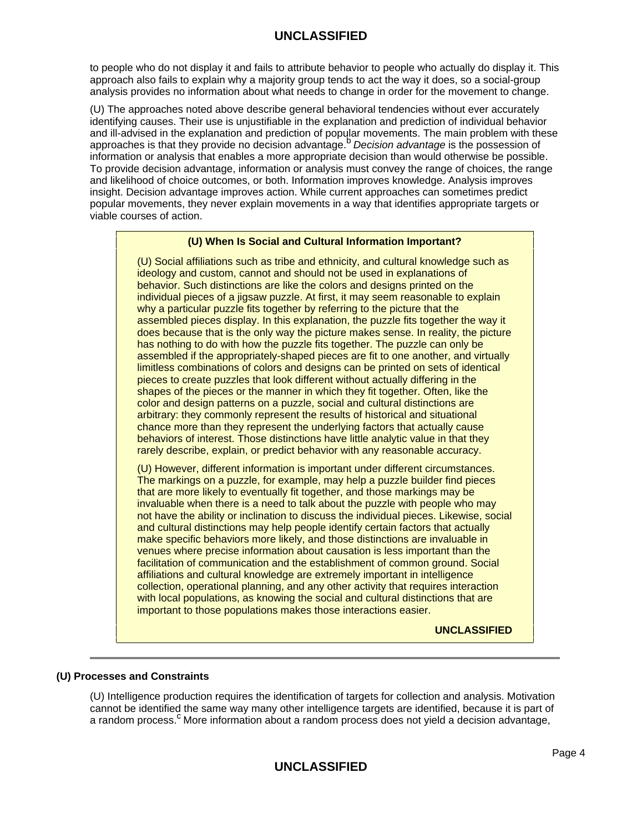to people who do not display it and fails to attribute behavior to people who actually do display it. This approach also fails to explain why a majority group tends to act the way it does, so a social-group analysis provides no information about what needs to change in order for the movement to change.

(U) The approaches noted above describe general behavioral tendencies without ever accurately identifying causes. Their use is unjustifiable in the explanation and prediction of individual behavior and ill-advised in the explanation and prediction of popular movements. The main problem with these and in davised in the explanation and prediction of popular movements. The main problem with the<br>approaches is that they provide no decision advantage. Decision advantage is the possession of information or analysis that enables a more appropriate decision than would otherwise be possible. To provide decision advantage, information or analysis must convey the range of choices, the range and likelihood of choice outcomes, or both. Information improves knowledge. Analysis improves insight. Decision advantage improves action. While current approaches can sometimes predict popular movements, they never explain movements in a way that identifies appropriate targets or viable courses of action.

### **(U) When Is Social and Cultural Information Important?**

(U) Social affiliations such as tribe and ethnicity, and cultural knowledge such as ideology and custom, cannot and should not be used in explanations of behavior. Such distinctions are like the colors and designs printed on the individual pieces of a jigsaw puzzle. At first, it may seem reasonable to explain why a particular puzzle fits together by referring to the picture that the assembled pieces display. In this explanation, the puzzle fits together the way it does because that is the only way the picture makes sense. In reality, the picture has nothing to do with how the puzzle fits together. The puzzle can only be assembled if the appropriately-shaped pieces are fit to one another, and virtually limitless combinations of colors and designs can be printed on sets of identical pieces to create puzzles that look different without actually differing in the shapes of the pieces or the manner in which they fit together. Often, like the color and design patterns on a puzzle, social and cultural distinctions are arbitrary: they commonly represent the results of historical and situational chance more than they represent the underlying factors that actually cause behaviors of interest. Those distinctions have little analytic value in that they rarely describe, explain, or predict behavior with any reasonable accuracy.

(U) However, different information is important under different circumstances. The markings on a puzzle, for example, may help a puzzle builder find pieces that are more likely to eventually fit together, and those markings may be invaluable when there is a need to talk about the puzzle with people who may not have the ability or inclination to discuss the individual pieces. Likewise, social and cultural distinctions may help people identify certain factors that actually make specific behaviors more likely, and those distinctions are invaluable in venues where precise information about causation is less important than the facilitation of communication and the establishment of common ground. Social affiliations and cultural knowledge are extremely important in intelligence collection, operational planning, and any other activity that requires interaction with local populations, as knowing the social and cultural distinctions that are important to those populations makes those interactions easier.

**UNCLASSIFIED**

#### **(U) Processes and Constraints**

(U) Intelligence production requires the identification of targets for collection and analysis. Motivation cannot be identified the same way many other intelligence targets are identified, because it is part of a random process. $c$  More information about a random process does not yield a decision advantage,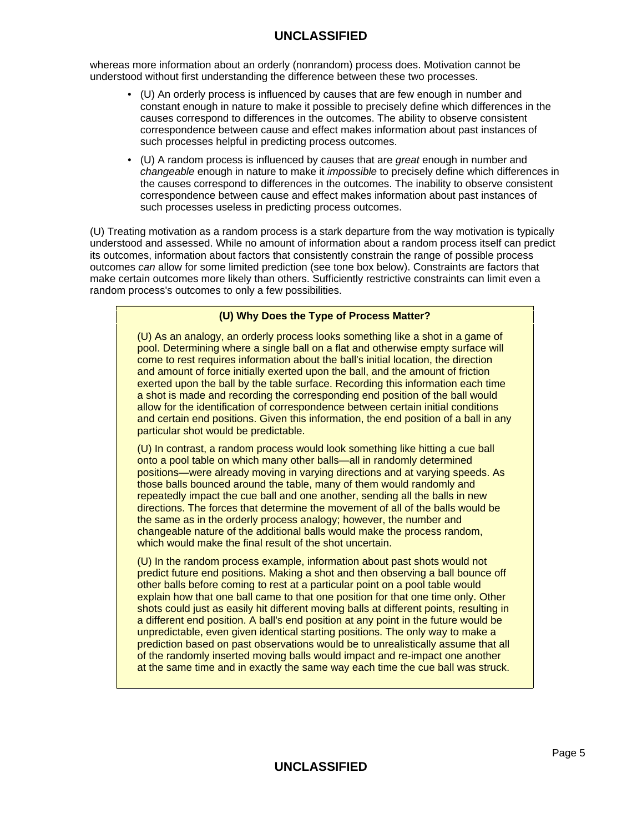whereas more information about an orderly (nonrandom) process does. Motivation cannot be understood without first understanding the difference between these two processes.

- (U) An orderly process is influenced by causes that are few enough in number and constant enough in nature to make it possible to precisely define which differences in the causes correspond to differences in the outcomes. The ability to observe consistent correspondence between cause and effect makes information about past instances of such processes helpful in predicting process outcomes.
- (U) A random process is influenced by causes that are great enough in number and changeable enough in nature to make it *impossible* to precisely define which differences in the causes correspond to differences in the outcomes. The inability to observe consistent correspondence between cause and effect makes information about past instances of such processes useless in predicting process outcomes.

(U) Treating motivation as a random process is a stark departure from the way motivation is typically understood and assessed. While no amount of information about a random process itself can predict its outcomes, information about factors that consistently constrain the range of possible process outcomes can allow for some limited prediction (see tone box below). Constraints are factors that make certain outcomes more likely than others. Sufficiently restrictive constraints can limit even a random process's outcomes to only a few possibilities.

# **(U) Why Does the Type of Process Matter?**

(U) As an analogy, an orderly process looks something like a shot in a game of pool. Determining where a single ball on a flat and otherwise empty surface will come to rest requires information about the ball's initial location, the direction and amount of force initially exerted upon the ball, and the amount of friction exerted upon the ball by the table surface. Recording this information each time a shot is made and recording the corresponding end position of the ball would allow for the identification of correspondence between certain initial conditions and certain end positions. Given this information, the end position of a ball in any particular shot would be predictable.

(U) In contrast, a random process would look something like hitting a cue ball onto a pool table on which many other balls—all in randomly determined positions—were already moving in varying directions and at varying speeds. As those balls bounced around the table, many of them would randomly and repeatedly impact the cue ball and one another, sending all the balls in new directions. The forces that determine the movement of all of the balls would be the same as in the orderly process analogy; however, the number and changeable nature of the additional balls would make the process random, which would make the final result of the shot uncertain.

(U) In the random process example, information about past shots would not predict future end positions. Making a shot and then observing a ball bounce off other balls before coming to rest at a particular point on a pool table would explain how that one ball came to that one position for that one time only. Other shots could just as easily hit different moving balls at different points, resulting in a different end position. A ball's end position at any point in the future would be unpredictable, even given identical starting positions. The only way to make a prediction based on past observations would be to unrealistically assume that all of the randomly inserted moving balls would impact and re-impact one another at the same time and in exactly the same way each time the cue ball was struck.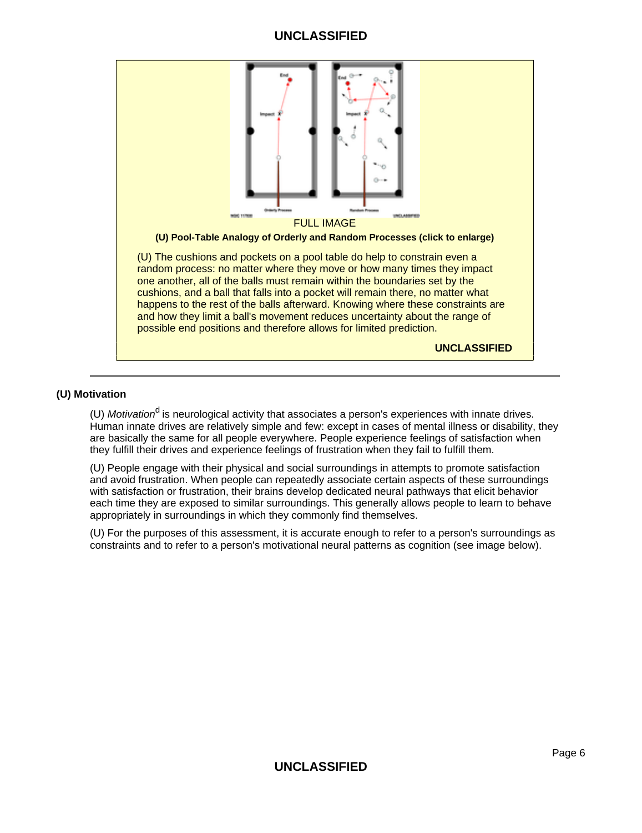

### **(U) Motivation**

(U) Motivation<sup>d</sup> is neurological activity that associates a person's experiences with innate drives. Human innate drives are relatively simple and few: except in cases of mental illness or disability, they are basically the same for all people everywhere. People experience feelings of satisfaction when they fulfill their drives and experience feelings of frustration when they fail to fulfill them.

(U) People engage with their physical and social surroundings in attempts to promote satisfaction and avoid frustration. When people can repeatedly associate certain aspects of these surroundings with satisfaction or frustration, their brains develop dedicated neural pathways that elicit behavior each time they are exposed to similar surroundings. This generally allows people to learn to behave appropriately in surroundings in which they commonly find themselves.

(U) For the purposes of this assessment, it is accurate enough to refer to a person's surroundings as constraints and to refer to a person's motivational neural patterns as cognition (see image below).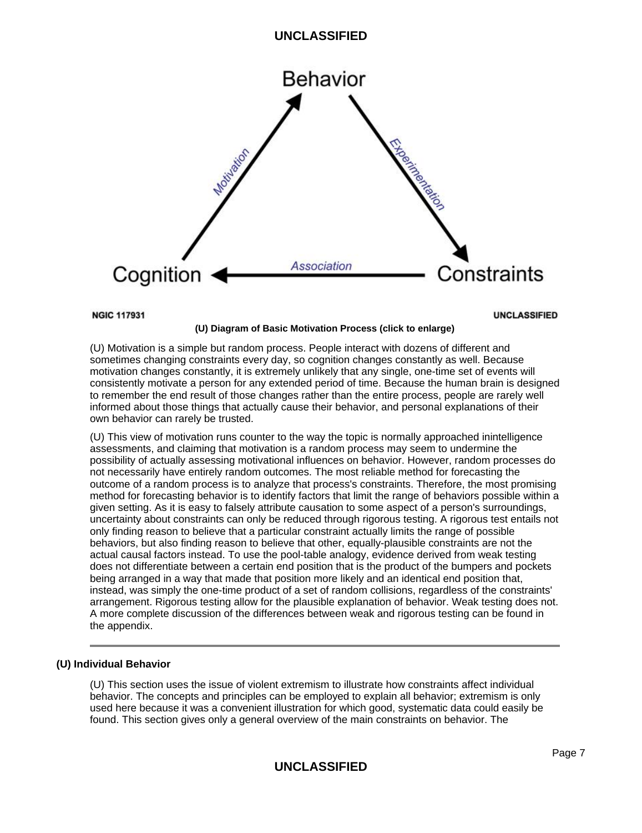

**NGIC 117931** 

**UNCLASSIFIED** 

#### (U) Motivation is a simple but random process. People interact with dozens of different and sometimes changing constraints every day, so cognition changes constantly as well. Because motivation changes constantly, it is extremely unlikely that any single, one-time set of events will consistently motivate a person for any extended period of time. Because the human brain is designed to remember the end result of those changes rather than the entire process, people are rarely well informed about those things that actually cause their behavior, and personal explanations of their

**(U) Diagram of Basic Motivation Process (click to enlarge)**

own behavior can rarely be trusted.

(U) This view of motivation runs counter to the way the topic is normally approached inintelligence assessments, and claiming that motivation is a random process may seem to undermine the possibility of actually assessing motivational influences on behavior. However, random processes do not necessarily have entirely random outcomes. The most reliable method for forecasting the outcome of a random process is to analyze that process's constraints. Therefore, the most promising method for forecasting behavior is to identify factors that limit the range of behaviors possible within a given setting. As it is easy to falsely attribute causation to some aspect of a person's surroundings, uncertainty about constraints can only be reduced through rigorous testing. A rigorous test entails not only finding reason to believe that a particular constraint actually limits the range of possible behaviors, but also finding reason to believe that other, equally-plausible constraints are not the actual causal factors instead. To use the pool-table analogy, evidence derived from weak testing does not differentiate between a certain end position that is the product of the bumpers and pockets being arranged in a way that made that position more likely and an identical end position that, instead, was simply the one-time product of a set of random collisions, regardless of the constraints' arrangement. Rigorous testing allow for the plausible explanation of behavior. Weak testing does not. A more complete discussion of the differences between weak and rigorous testing can be found in the appendix.

## **(U) Individual Behavior**

(U) This section uses the issue of violent extremism to illustrate how constraints affect individual behavior. The concepts and principles can be employed to explain all behavior; extremism is only used here because it was a convenient illustration for which good, systematic data could easily be found. This section gives only a general overview of the main constraints on behavior. The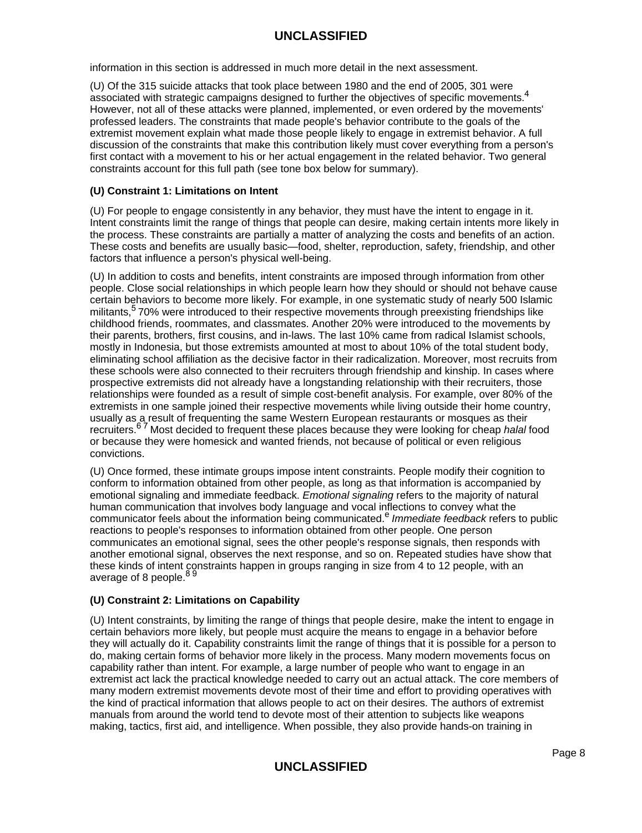information in this section is addressed in much more detail in the next assessment.

(U) Of the 315 suicide attacks that took place between 1980 and the end of 2005, 301 were associated with strategic campaigns designed to further the objectives of specific movements.<sup>4</sup> However, not all of these attacks were planned, implemented, or even ordered by the movements' professed leaders. The constraints that made people's behavior contribute to the goals of the extremist movement explain what made those people likely to engage in extremist behavior. A full discussion of the constraints that make this contribution likely must cover everything from a person's first contact with a movement to his or her actual engagement in the related behavior. Two general constraints account for this full path (see tone box below for summary).

### **(U) Constraint 1: Limitations on Intent**

(U) For people to engage consistently in any behavior, they must have the intent to engage in it. Intent constraints limit the range of things that people can desire, making certain intents more likely in the process. These constraints are partially a matter of analyzing the costs and benefits of an action. These costs and benefits are usually basic—food, shelter, reproduction, safety, friendship, and other factors that influence a person's physical well-being.

(U) In addition to costs and benefits, intent constraints are imposed through information from other people. Close social relationships in which people learn how they should or should not behave cause certain behaviors to become more likely. For example, in one systematic study of nearly 500 Islamic militants,<sup>5</sup> 70% were introduced to their respective movements through preexisting friendships like childhood friends, roommates, and classmates. Another 20% were introduced to the movements by their parents, brothers, first cousins, and in-laws. The last 10% came from radical Islamist schools, mostly in Indonesia, but those extremists amounted at most to about 10% of the total student body, eliminating school affiliation as the decisive factor in their radicalization. Moreover, most recruits from these schools were also connected to their recruiters through friendship and kinship. In cases where prospective extremists did not already have a longstanding relationship with their recruiters, those relationships were founded as a result of simple cost-benefit analysis. For example, over 80% of the extremists in one sample joined their respective movements while living outside their home country, usually as a result of frequenting the same Western European restaurants or mosques as their recruiters.<sup>67</sup> Most decided to frequent these places because they were looking for cheap halal food or because they were homesick and wanted friends, not because of political or even religious convictions.

(U) Once formed, these intimate groups impose intent constraints. People modify their cognition to conform to information obtained from other people, as long as that information is accompanied by emotional signaling and immediate feedback. Emotional signaling refers to the majority of natural human communication that involves body language and vocal inflections to convey what the communicator feels about the information being communicated.<sup>e</sup> Immediate feedback refers to public reactions to people's responses to information obtained from other people. One person communicates an emotional signal, sees the other people's response signals, then responds with another emotional signal, observes the next response, and so on. Repeated studies have show that these kinds of intent constraints happen in groups ranging in size from 4 to 12 people, with an average of 8 people.<sup>89</sup>

## **(U) Constraint 2: Limitations on Capability**

(U) Intent constraints, by limiting the range of things that people desire, make the intent to engage in certain behaviors more likely, but people must acquire the means to engage in a behavior before they will actually do it. Capability constraints limit the range of things that it is possible for a person to do, making certain forms of behavior more likely in the process. Many modern movements focus on capability rather than intent. For example, a large number of people who want to engage in an extremist act lack the practical knowledge needed to carry out an actual attack. The core members of many modern extremist movements devote most of their time and effort to providing operatives with the kind of practical information that allows people to act on their desires. The authors of extremist manuals from around the world tend to devote most of their attention to subjects like weapons making, tactics, first aid, and intelligence. When possible, they also provide hands-on training in

# **UNCLASSIFIED**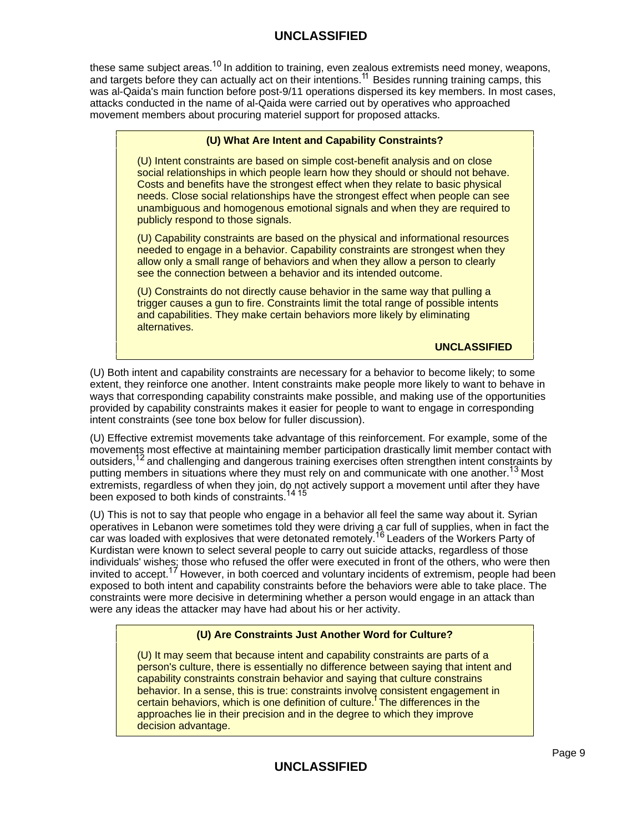these same subject areas.<sup>10</sup> In addition to training, even zealous extremists need money, weapons, and targets before they can actually act on their intentions.<sup>11</sup> Besides running training camps, this was al-Qaida's main function before post-9/11 operations dispersed its key members. In most cases, attacks conducted in the name of al-Qaida were carried out by operatives who approached movement members about procuring materiel support for proposed attacks.

### **(U) What Are Intent and Capability Constraints?**

(U) Intent constraints are based on simple cost-benefit analysis and on close social relationships in which people learn how they should or should not behave. Costs and benefits have the strongest effect when they relate to basic physical needs. Close social relationships have the strongest effect when people can see unambiguous and homogenous emotional signals and when they are required to publicly respond to those signals.

(U) Capability constraints are based on the physical and informational resources needed to engage in a behavior. Capability constraints are strongest when they allow only a small range of behaviors and when they allow a person to clearly see the connection between a behavior and its intended outcome.

(U) Constraints do not directly cause behavior in the same way that pulling a trigger causes a gun to fire. Constraints limit the total range of possible intents and capabilities. They make certain behaviors more likely by eliminating alternatives.

**UNCLASSIFIED**

(U) Both intent and capability constraints are necessary for a behavior to become likely; to some extent, they reinforce one another. Intent constraints make people more likely to want to behave in ways that corresponding capability constraints make possible, and making use of the opportunities provided by capability constraints makes it easier for people to want to engage in corresponding intent constraints (see tone box below for fuller discussion).

(U) Effective extremist movements take advantage of this reinforcement. For example, some of the movements most effective at maintaining member participation drastically limit member contact with outsiders,12 and challenging and dangerous training exercises often strengthen intent constraints by putting members in situations where they must rely on and communicate with one another.<sup>13</sup> Most extremists, regardless of when they join, do not actively support a movement until after they have been exposed to both kinds of constraints.<sup>14 15</sup>

(U) This is not to say that people who engage in a behavior all feel the same way about it. Syrian operatives in Lebanon were sometimes told they were driving a car full of supplies, when in fact the car was loaded with explosives that were detonated remotely.<sup>16</sup> Leaders of the Workers Party of Kurdistan were known to select several people to carry out suicide attacks, regardless of those individuals' wishes; those who refused the offer were executed in front of the others, who were then invited to accept.<sup>17</sup> However, in both coerced and voluntary incidents of extremism, people had been exposed to both intent and capability constraints before the behaviors were able to take place. The constraints were more decisive in determining whether a person would engage in an attack than were any ideas the attacker may have had about his or her activity.

# **(U) Are Constraints Just Another Word for Culture?**

(U) It may seem that because intent and capability constraints are parts of a person's culture, there is essentially no difference between saying that intent and capability constraints constrain behavior and saying that culture constrains behavior. In a sense, this is true: constraints involve consistent engagement in certain behaviors, which is one definition of culture.<sup>f</sup> The differences in the approaches lie in their precision and in the degree to which they improve decision advantage.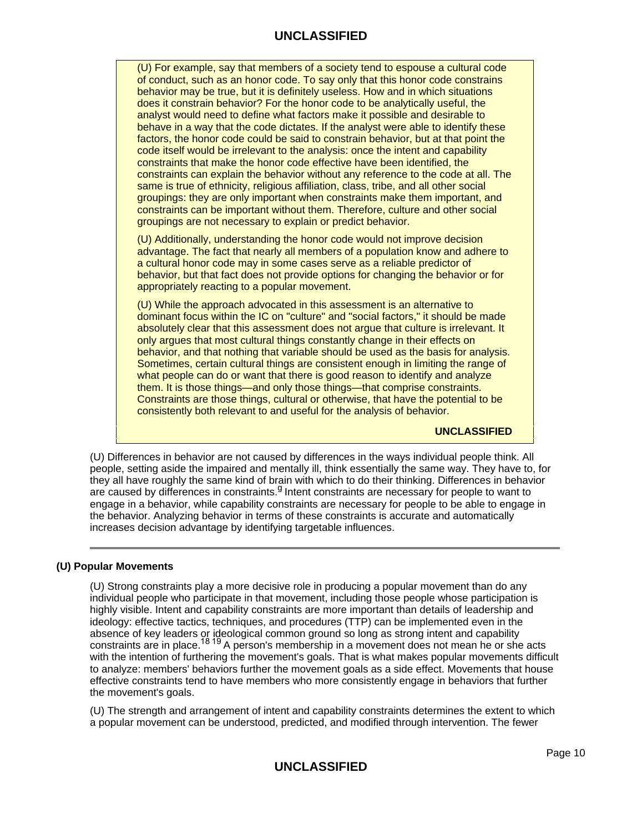(U) For example, say that members of a society tend to espouse a cultural code of conduct, such as an honor code. To say only that this honor code constrains behavior may be true, but it is definitely useless. How and in which situations does it constrain behavior? For the honor code to be analytically useful, the analyst would need to define what factors make it possible and desirable to behave in a way that the code dictates. If the analyst were able to identify these factors, the honor code could be said to constrain behavior, but at that point the code itself would be irrelevant to the analysis: once the intent and capability constraints that make the honor code effective have been identified, the constraints can explain the behavior without any reference to the code at all. The same is true of ethnicity, religious affiliation, class, tribe, and all other social groupings: they are only important when constraints make them important, and constraints can be important without them. Therefore, culture and other social groupings are not necessary to explain or predict behavior.

(U) Additionally, understanding the honor code would not improve decision advantage. The fact that nearly all members of a population know and adhere to a cultural honor code may in some cases serve as a reliable predictor of behavior, but that fact does not provide options for changing the behavior or for appropriately reacting to a popular movement.

(U) While the approach advocated in this assessment is an alternative to dominant focus within the IC on "culture" and "social factors," it should be made absolutely clear that this assessment does not argue that culture is irrelevant. It only argues that most cultural things constantly change in their effects on behavior, and that nothing that variable should be used as the basis for analysis. Sometimes, certain cultural things are consistent enough in limiting the range of what people can do or want that there is good reason to identify and analyze them. It is those things—and only those things—that comprise constraints. Constraints are those things, cultural or otherwise, that have the potential to be consistently both relevant to and useful for the analysis of behavior.

**UNCLASSIFIED**

(U) Differences in behavior are not caused by differences in the ways individual people think. All people, setting aside the impaired and mentally ill, think essentially the same way. They have to, for they all have roughly the same kind of brain with which to do their thinking. Differences in behavior are caused by differences in constraints.<sup>9</sup> Intent constraints are necessary for people to want to engage in a behavior, while capability constraints are necessary for people to be able to engage in the behavior. Analyzing behavior in terms of these constraints is accurate and automatically increases decision advantage by identifying targetable influences.

#### **(U) Popular Movements**

(U) Strong constraints play a more decisive role in producing a popular movement than do any individual people who participate in that movement, including those people whose participation is highly visible. Intent and capability constraints are more important than details of leadership and ideology: effective tactics, techniques, and procedures (TTP) can be implemented even in the absence of key leaders or ideological common ground so long as strong intent and capability constraints are in place.<sup>18 19</sup> A person's membership in a movement does not mean he or she acts with the intention of furthering the movement's goals. That is what makes popular movements difficult to analyze: members' behaviors further the movement goals as a side effect. Movements that house effective constraints tend to have members who more consistently engage in behaviors that further the movement's goals.

(U) The strength and arrangement of intent and capability constraints determines the extent to which a popular movement can be understood, predicted, and modified through intervention. The fewer

**UNCLASSIFIED**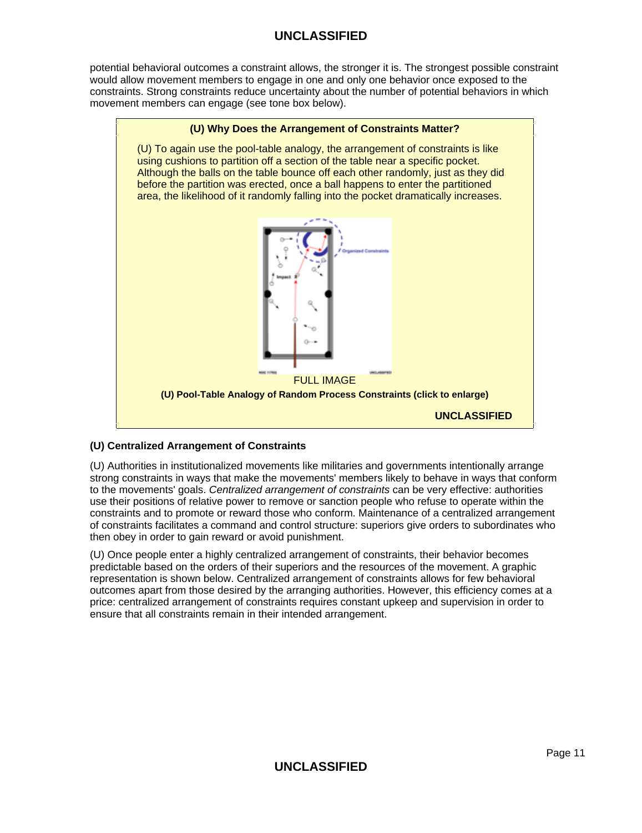potential behavioral outcomes a constraint allows, the stronger it is. The strongest possible constraint would allow movement members to engage in one and only one behavior once exposed to the constraints. Strong constraints reduce uncertainty about the number of potential behaviors in which movement members can engage (see tone box below).



## **(U) Centralized Arrangement of Constraints**

(U) Authorities in institutionalized movements like militaries and governments intentionally arrange strong constraints in ways that make the movements' members likely to behave in ways that conform to the movements' goals. Centralized arrangement of constraints can be very effective: authorities use their positions of relative power to remove or sanction people who refuse to operate within the constraints and to promote or reward those who conform. Maintenance of a centralized arrangement of constraints facilitates a command and control structure: superiors give orders to subordinates who then obey in order to gain reward or avoid punishment.

(U) Once people enter a highly centralized arrangement of constraints, their behavior becomes predictable based on the orders of their superiors and the resources of the movement. A graphic representation is shown below. Centralized arrangement of constraints allows for few behavioral outcomes apart from those desired by the arranging authorities. However, this efficiency comes at a price: centralized arrangement of constraints requires constant upkeep and supervision in order to ensure that all constraints remain in their intended arrangement.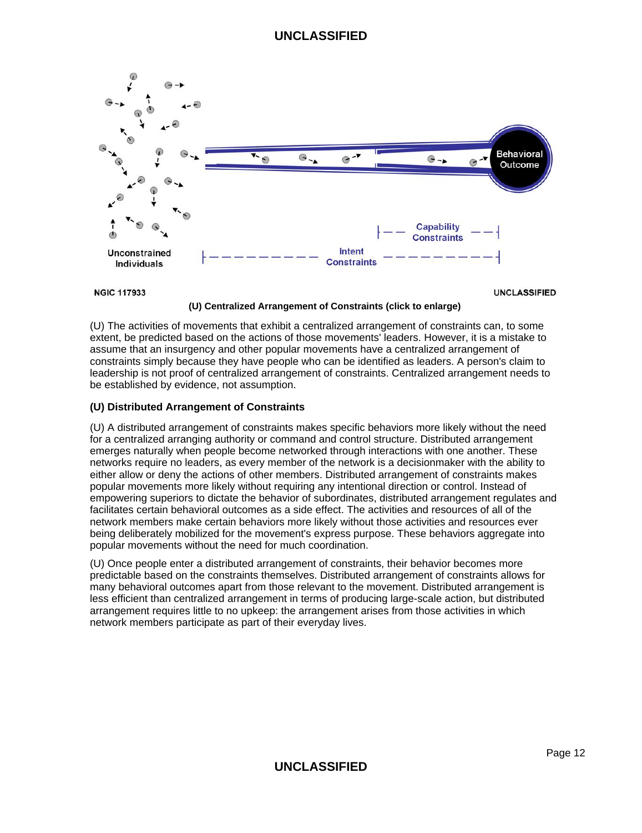

**NGIC 117933** 

**UNCLASSIFIED** 

### **(U) Centralized Arrangement of Constraints (click to enlarge)**

(U) The activities of movements that exhibit a centralized arrangement of constraints can, to some extent, be predicted based on the actions of those movements' leaders. However, it is a mistake to assume that an insurgency and other popular movements have a centralized arrangement of constraints simply because they have people who can be identified as leaders. A person's claim to leadership is not proof of centralized arrangement of constraints. Centralized arrangement needs to be established by evidence, not assumption.

## **(U) Distributed Arrangement of Constraints**

(U) A distributed arrangement of constraints makes specific behaviors more likely without the need for a centralized arranging authority or command and control structure. Distributed arrangement emerges naturally when people become networked through interactions with one another. These networks require no leaders, as every member of the network is a decisionmaker with the ability to either allow or deny the actions of other members. Distributed arrangement of constraints makes popular movements more likely without requiring any intentional direction or control. Instead of empowering superiors to dictate the behavior of subordinates, distributed arrangement regulates and facilitates certain behavioral outcomes as a side effect. The activities and resources of all of the network members make certain behaviors more likely without those activities and resources ever being deliberately mobilized for the movement's express purpose. These behaviors aggregate into popular movements without the need for much coordination.

(U) Once people enter a distributed arrangement of constraints, their behavior becomes more predictable based on the constraints themselves. Distributed arrangement of constraints allows for many behavioral outcomes apart from those relevant to the movement. Distributed arrangement is less efficient than centralized arrangement in terms of producing large-scale action, but distributed arrangement requires little to no upkeep: the arrangement arises from those activities in which network members participate as part of their everyday lives.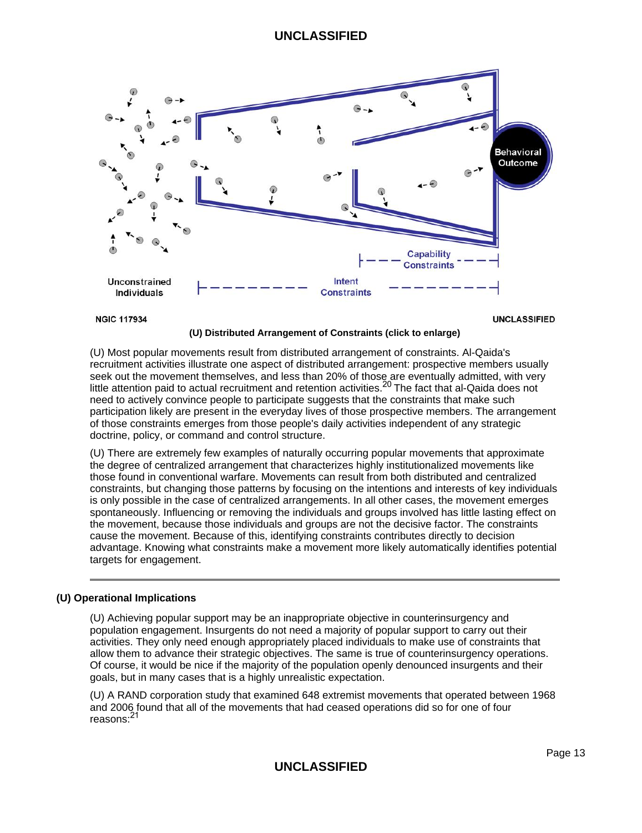

**NGIC 117934** 

**UNCLASSIFIED** 

#### **(U) Distributed Arrangement of Constraints (click to enlarge)**

(U) Most popular movements result from distributed arrangement of constraints. Al-Qaida's recruitment activities illustrate one aspect of distributed arrangement: prospective members usually seek out the movement themselves, and less than 20% of those are eventually admitted, with very little attention paid to actual recruitment and retention activities.<sup>20</sup> The fact that al-Qaida does not need to actively convince people to participate suggests that the constraints that make such participation likely are present in the everyday lives of those prospective members. The arrangement of those constraints emerges from those people's daily activities independent of any strategic doctrine, policy, or command and control structure.

(U) There are extremely few examples of naturally occurring popular movements that approximate the degree of centralized arrangement that characterizes highly institutionalized movements like those found in conventional warfare. Movements can result from both distributed and centralized constraints, but changing those patterns by focusing on the intentions and interests of key individuals is only possible in the case of centralized arrangements. In all other cases, the movement emerges spontaneously. Influencing or removing the individuals and groups involved has little lasting effect on the movement, because those individuals and groups are not the decisive factor. The constraints cause the movement. Because of this, identifying constraints contributes directly to decision advantage. Knowing what constraints make a movement more likely automatically identifies potential targets for engagement.

#### **(U) Operational Implications**

(U) Achieving popular support may be an inappropriate objective in counterinsurgency and population engagement. Insurgents do not need a majority of popular support to carry out their activities. They only need enough appropriately placed individuals to make use of constraints that allow them to advance their strategic objectives. The same is true of counterinsurgency operations. Of course, it would be nice if the majority of the population openly denounced insurgents and their goals, but in many cases that is a highly unrealistic expectation.

(U) A RAND corporation study that examined 648 extremist movements that operated between 1968 and 2006 found that all of the movements that had ceased operations did so for one of four reasons:<sup>21</sup>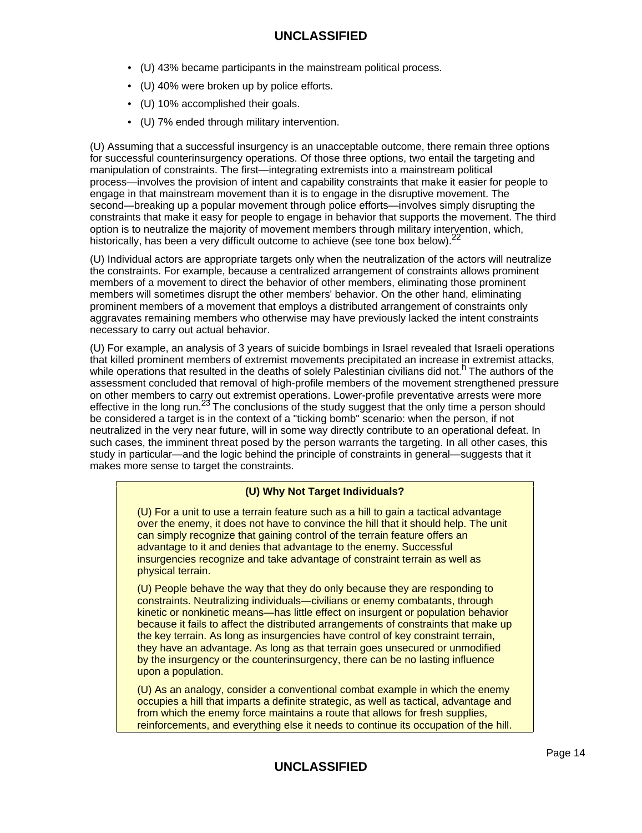- (U) 43% became participants in the mainstream political process.
- (U) 40% were broken up by police efforts.
- (U) 10% accomplished their goals.
- (U) 7% ended through military intervention.

(U) Assuming that a successful insurgency is an unacceptable outcome, there remain three options for successful counterinsurgency operations. Of those three options, two entail the targeting and manipulation of constraints. The first—integrating extremists into a mainstream political process—involves the provision of intent and capability constraints that make it easier for people to engage in that mainstream movement than it is to engage in the disruptive movement. The second—breaking up a popular movement through police efforts—involves simply disrupting the constraints that make it easy for people to engage in behavior that supports the movement. The third option is to neutralize the majority of movement members through military intervention, which, historically, has been a very difficult outcome to achieve (see tone box below).<sup>22</sup>

(U) Individual actors are appropriate targets only when the neutralization of the actors will neutralize the constraints. For example, because a centralized arrangement of constraints allows prominent members of a movement to direct the behavior of other members, eliminating those prominent members will sometimes disrupt the other members' behavior. On the other hand, eliminating prominent members of a movement that employs a distributed arrangement of constraints only aggravates remaining members who otherwise may have previously lacked the intent constraints necessary to carry out actual behavior.

(U) For example, an analysis of 3 years of suicide bombings in Israel revealed that Israeli operations that killed prominent members of extremist movements precipitated an increase in extremist attacks, while operations that resulted in the deaths of solely Palestinian civilians did not.<sup>h</sup> The authors of the assessment concluded that removal of high-profile members of the movement strengthened pressure on other members to carry out extremist operations. Lower-profile preventative arrests were more effective in the long run.<sup>23</sup> The conclusions of the study suggest that the only time a person should be considered a target is in the context of a "ticking bomb" scenario: when the person, if not neutralized in the very near future, will in some way directly contribute to an operational defeat. In such cases, the imminent threat posed by the person warrants the targeting. In all other cases, this study in particular—and the logic behind the principle of constraints in general—suggests that it makes more sense to target the constraints.

## **(U) Why Not Target Individuals?**

(U) For a unit to use a terrain feature such as a hill to gain a tactical advantage over the enemy, it does not have to convince the hill that it should help. The unit can simply recognize that gaining control of the terrain feature offers an advantage to it and denies that advantage to the enemy. Successful insurgencies recognize and take advantage of constraint terrain as well as physical terrain.

(U) People behave the way that they do only because they are responding to constraints. Neutralizing individuals—civilians or enemy combatants, through kinetic or nonkinetic means—has little effect on insurgent or population behavior because it fails to affect the distributed arrangements of constraints that make up the key terrain. As long as insurgencies have control of key constraint terrain, they have an advantage. As long as that terrain goes unsecured or unmodified by the insurgency or the counterinsurgency, there can be no lasting influence upon a population.

(U) As an analogy, consider a conventional combat example in which the enemy occupies a hill that imparts a definite strategic, as well as tactical, advantage and from which the enemy force maintains a route that allows for fresh supplies, reinforcements, and everything else it needs to continue its occupation of the hill.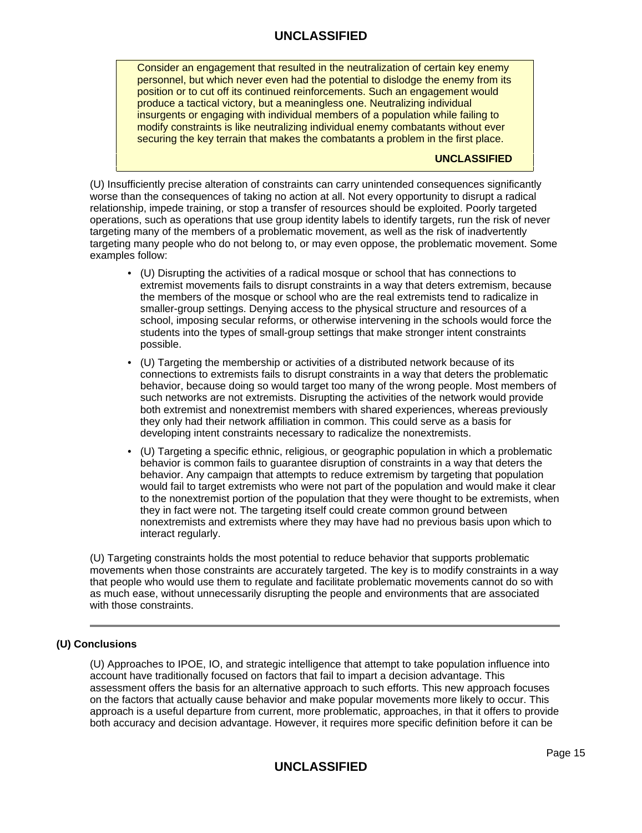Consider an engagement that resulted in the neutralization of certain key enemy personnel, but which never even had the potential to dislodge the enemy from its position or to cut off its continued reinforcements. Such an engagement would produce a tactical victory, but a meaningless one. Neutralizing individual insurgents or engaging with individual members of a population while failing to modify constraints is like neutralizing individual enemy combatants without ever securing the key terrain that makes the combatants a problem in the first place.

### **UNCLASSIFIED**

(U) Insufficiently precise alteration of constraints can carry unintended consequences significantly worse than the consequences of taking no action at all. Not every opportunity to disrupt a radical relationship, impede training, or stop a transfer of resources should be exploited. Poorly targeted operations, such as operations that use group identity labels to identify targets, run the risk of never targeting many of the members of a problematic movement, as well as the risk of inadvertently targeting many people who do not belong to, or may even oppose, the problematic movement. Some examples follow:

- (U) Disrupting the activities of a radical mosque or school that has connections to extremist movements fails to disrupt constraints in a way that deters extremism, because the members of the mosque or school who are the real extremists tend to radicalize in smaller-group settings. Denying access to the physical structure and resources of a school, imposing secular reforms, or otherwise intervening in the schools would force the students into the types of small-group settings that make stronger intent constraints possible.
- (U) Targeting the membership or activities of a distributed network because of its connections to extremists fails to disrupt constraints in a way that deters the problematic behavior, because doing so would target too many of the wrong people. Most members of such networks are not extremists. Disrupting the activities of the network would provide both extremist and nonextremist members with shared experiences, whereas previously they only had their network affiliation in common. This could serve as a basis for developing intent constraints necessary to radicalize the nonextremists.
- (U) Targeting a specific ethnic, religious, or geographic population in which a problematic behavior is common fails to guarantee disruption of constraints in a way that deters the behavior. Any campaign that attempts to reduce extremism by targeting that population would fail to target extremists who were not part of the population and would make it clear to the nonextremist portion of the population that they were thought to be extremists, when they in fact were not. The targeting itself could create common ground between nonextremists and extremists where they may have had no previous basis upon which to interact regularly.

(U) Targeting constraints holds the most potential to reduce behavior that supports problematic movements when those constraints are accurately targeted. The key is to modify constraints in a way that people who would use them to regulate and facilitate problematic movements cannot do so with as much ease, without unnecessarily disrupting the people and environments that are associated with those constraints.

## **(U) Conclusions**

(U) Approaches to IPOE, IO, and strategic intelligence that attempt to take population influence into account have traditionally focused on factors that fail to impart a decision advantage. This assessment offers the basis for an alternative approach to such efforts. This new approach focuses on the factors that actually cause behavior and make popular movements more likely to occur. This approach is a useful departure from current, more problematic, approaches, in that it offers to provide both accuracy and decision advantage. However, it requires more specific definition before it can be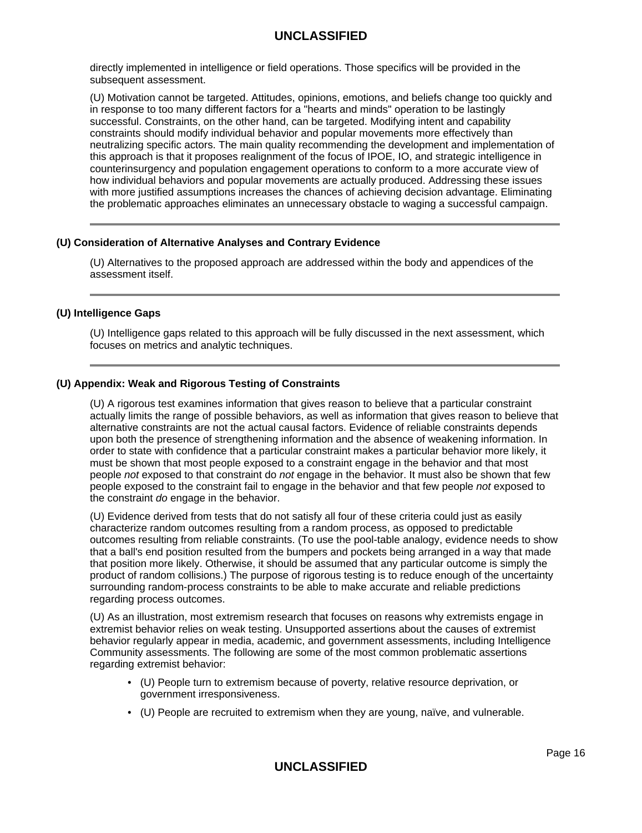directly implemented in intelligence or field operations. Those specifics will be provided in the subsequent assessment.

(U) Motivation cannot be targeted. Attitudes, opinions, emotions, and beliefs change too quickly and in response to too many different factors for a "hearts and minds" operation to be lastingly successful. Constraints, on the other hand, can be targeted. Modifying intent and capability constraints should modify individual behavior and popular movements more effectively than neutralizing specific actors. The main quality recommending the development and implementation of this approach is that it proposes realignment of the focus of IPOE, IO, and strategic intelligence in counterinsurgency and population engagement operations to conform to a more accurate view of how individual behaviors and popular movements are actually produced. Addressing these issues with more justified assumptions increases the chances of achieving decision advantage. Eliminating the problematic approaches eliminates an unnecessary obstacle to waging a successful campaign.

#### **(U) Consideration of Alternative Analyses and Contrary Evidence**

(U) Alternatives to the proposed approach are addressed within the body and appendices of the assessment itself.

#### **(U) Intelligence Gaps**

(U) Intelligence gaps related to this approach will be fully discussed in the next assessment, which focuses on metrics and analytic techniques.

### **(U) Appendix: Weak and Rigorous Testing of Constraints**

(U) A rigorous test examines information that gives reason to believe that a particular constraint actually limits the range of possible behaviors, as well as information that gives reason to believe that alternative constraints are not the actual causal factors. Evidence of reliable constraints depends upon both the presence of strengthening information and the absence of weakening information. In order to state with confidence that a particular constraint makes a particular behavior more likely, it must be shown that most people exposed to a constraint engage in the behavior and that most people not exposed to that constraint do not engage in the behavior. It must also be shown that few people exposed to the constraint fail to engage in the behavior and that few people not exposed to the constraint do engage in the behavior.

(U) Evidence derived from tests that do not satisfy all four of these criteria could just as easily characterize random outcomes resulting from a random process, as opposed to predictable outcomes resulting from reliable constraints. (To use the pool-table analogy, evidence needs to show that a ball's end position resulted from the bumpers and pockets being arranged in a way that made that position more likely. Otherwise, it should be assumed that any particular outcome is simply the product of random collisions.) The purpose of rigorous testing is to reduce enough of the uncertainty surrounding random-process constraints to be able to make accurate and reliable predictions regarding process outcomes.

(U) As an illustration, most extremism research that focuses on reasons why extremists engage in extremist behavior relies on weak testing. Unsupported assertions about the causes of extremist behavior regularly appear in media, academic, and government assessments, including Intelligence Community assessments. The following are some of the most common problematic assertions regarding extremist behavior:

- (U) People turn to extremism because of poverty, relative resource deprivation, or government irresponsiveness.
- (U) People are recruited to extremism when they are young, naïve, and vulnerable.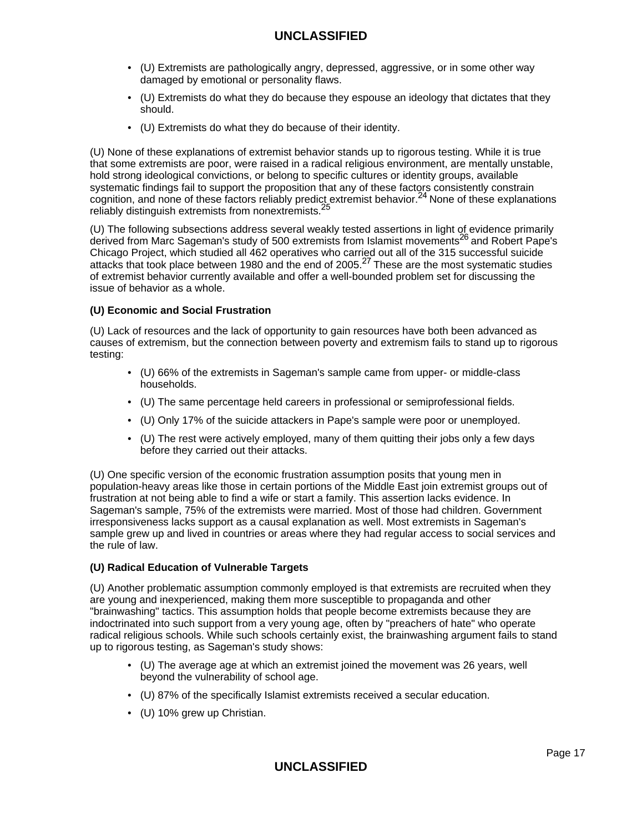- (U) Extremists are pathologically angry, depressed, aggressive, or in some other way damaged by emotional or personality flaws.
- (U) Extremists do what they do because they espouse an ideology that dictates that they should.
- (U) Extremists do what they do because of their identity.

(U) None of these explanations of extremist behavior stands up to rigorous testing. While it is true that some extremists are poor, were raised in a radical religious environment, are mentally unstable, hold strong ideological convictions, or belong to specific cultures or identity groups, available systematic findings fail to support the proposition that any of these factors consistently constrain  $c$ ognition, and none of these factors reliably predict extremist behavior.<sup>24</sup> None of these explanations reliably distinguish extremists from nonextremists.<sup>25</sup>

(U) The following subsections address several weakly tested assertions in light of evidence primarily derived from Marc Sageman's study of 500 extremists from Islamist movements<sup>26</sup> and Robert Pape's Chicago Project, which studied all 462 operatives who carried out all of the 315 successful suicide attacks that took place between 1980 and the end of 2005.<sup>27</sup> These are the most systematic studies of extremist behavior currently available and offer a well-bounded problem set for discussing the issue of behavior as a whole.

### **(U) Economic and Social Frustration**

(U) Lack of resources and the lack of opportunity to gain resources have both been advanced as causes of extremism, but the connection between poverty and extremism fails to stand up to rigorous testing:

- (U) 66% of the extremists in Sageman's sample came from upper- or middle-class households.
- (U) The same percentage held careers in professional or semiprofessional fields.
- (U) Only 17% of the suicide attackers in Pape's sample were poor or unemployed.
- (U) The rest were actively employed, many of them quitting their jobs only a few days before they carried out their attacks.

(U) One specific version of the economic frustration assumption posits that young men in population-heavy areas like those in certain portions of the Middle East join extremist groups out of frustration at not being able to find a wife or start a family. This assertion lacks evidence. In Sageman's sample, 75% of the extremists were married. Most of those had children. Government irresponsiveness lacks support as a causal explanation as well. Most extremists in Sageman's sample grew up and lived in countries or areas where they had regular access to social services and the rule of law.

#### **(U) Radical Education of Vulnerable Targets**

(U) Another problematic assumption commonly employed is that extremists are recruited when they are young and inexperienced, making them more susceptible to propaganda and other "brainwashing" tactics. This assumption holds that people become extremists because they are indoctrinated into such support from a very young age, often by "preachers of hate" who operate radical religious schools. While such schools certainly exist, the brainwashing argument fails to stand up to rigorous testing, as Sageman's study shows:

- (U) The average age at which an extremist joined the movement was 26 years, well beyond the vulnerability of school age.
- (U) 87% of the specifically Islamist extremists received a secular education.
- (U) 10% grew up Christian.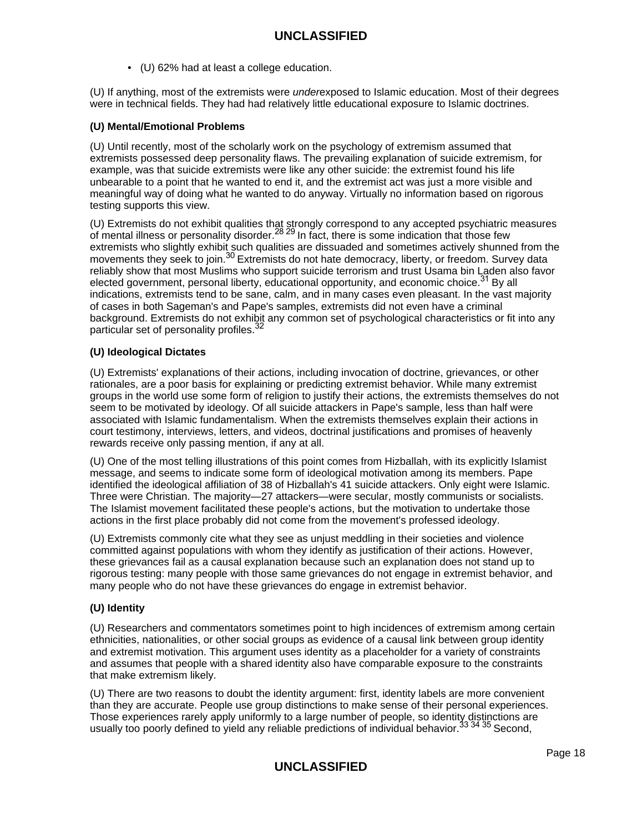• (U) 62% had at least a college education.

(U) If anything, most of the extremists were underexposed to Islamic education. Most of their degrees were in technical fields. They had had relatively little educational exposure to Islamic doctrines.

### **(U) Mental/Emotional Problems**

(U) Until recently, most of the scholarly work on the psychology of extremism assumed that extremists possessed deep personality flaws. The prevailing explanation of suicide extremism, for example, was that suicide extremists were like any other suicide: the extremist found his life unbearable to a point that he wanted to end it, and the extremist act was just a more visible and meaningful way of doing what he wanted to do anyway. Virtually no information based on rigorous testing supports this view.

(U) Extremists do not exhibit qualities that strongly correspond to any accepted psychiatric measures of mental illness or personality disorder.<sup>28 29</sup> In fact, there is some indication that those few extremists who slightly exhibit such qualities are dissuaded and sometimes actively shunned from the movements they seek to join.<sup>30</sup> Extremists do not hate democracy, liberty, or freedom. Survey data reliably show that most Muslims who support suicide terrorism and trust Usama bin Laden also favor elected government, personal liberty, educational opportunity, and economic choice.<sup>31</sup> By all indications, extremists tend to be sane, calm, and in many cases even pleasant. In the vast majority of cases in both Sageman's and Pape's samples, extremists did not even have a criminal background. Extremists do not exhibit any common set of psychological characteristics or fit into any particular set of personality profiles.<sup>32</sup>

### **(U) Ideological Dictates**

(U) Extremists' explanations of their actions, including invocation of doctrine, grievances, or other rationales, are a poor basis for explaining or predicting extremist behavior. While many extremist groups in the world use some form of religion to justify their actions, the extremists themselves do not seem to be motivated by ideology. Of all suicide attackers in Pape's sample, less than half were associated with Islamic fundamentalism. When the extremists themselves explain their actions in court testimony, interviews, letters, and videos, doctrinal justifications and promises of heavenly rewards receive only passing mention, if any at all.

(U) One of the most telling illustrations of this point comes from Hizballah, with its explicitly Islamist message, and seems to indicate some form of ideological motivation among its members. Pape identified the ideological affiliation of 38 of Hizballah's 41 suicide attackers. Only eight were Islamic. Three were Christian. The majority—27 attackers—were secular, mostly communists or socialists. The Islamist movement facilitated these people's actions, but the motivation to undertake those actions in the first place probably did not come from the movement's professed ideology.

(U) Extremists commonly cite what they see as unjust meddling in their societies and violence committed against populations with whom they identify as justification of their actions. However, these grievances fail as a causal explanation because such an explanation does not stand up to rigorous testing: many people with those same grievances do not engage in extremist behavior, and many people who do not have these grievances do engage in extremist behavior.

## **(U) Identity**

(U) Researchers and commentators sometimes point to high incidences of extremism among certain ethnicities, nationalities, or other social groups as evidence of a causal link between group identity and extremist motivation. This argument uses identity as a placeholder for a variety of constraints and assumes that people with a shared identity also have comparable exposure to the constraints that make extremism likely.

(U) There are two reasons to doubt the identity argument: first, identity labels are more convenient than they are accurate. People use group distinctions to make sense of their personal experiences. Those experiences rarely apply uniformly to a large number of people, so identity distinctions are usually too poorly defined to yield any reliable predictions of individual behavior.<sup>33 34</sup> <sup>35</sup> Second,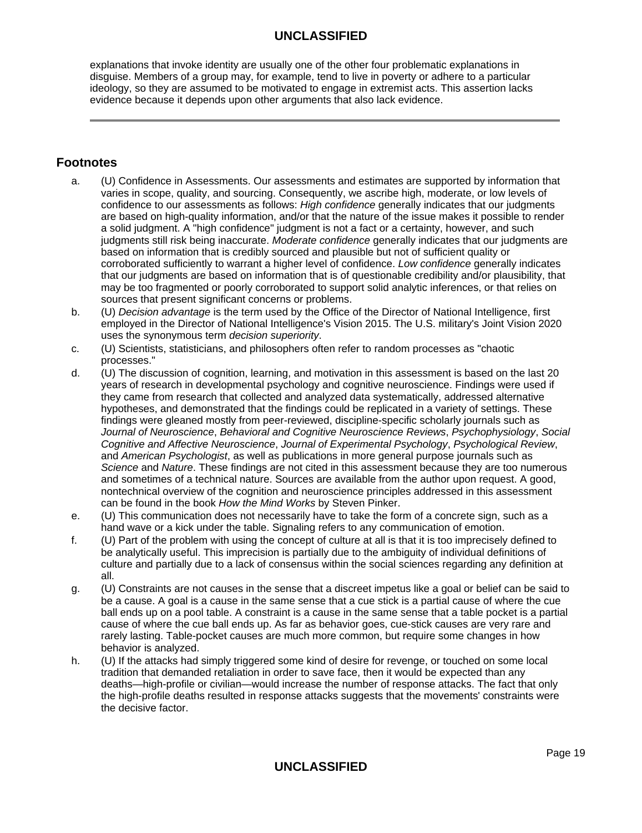explanations that invoke identity are usually one of the other four problematic explanations in disguise. Members of a group may, for example, tend to live in poverty or adhere to a particular ideology, so they are assumed to be motivated to engage in extremist acts. This assertion lacks evidence because it depends upon other arguments that also lack evidence.

# **Footnotes**

- a. (U) Confidence in Assessments. Our assessments and estimates are supported by information that varies in scope, quality, and sourcing. Consequently, we ascribe high, moderate, or low levels of confidence to our assessments as follows: High confidence generally indicates that our judgments are based on high-quality information, and/or that the nature of the issue makes it possible to render a solid judgment. A "high confidence" judgment is not a fact or a certainty, however, and such judgments still risk being inaccurate. Moderate confidence generally indicates that our judgments are based on information that is credibly sourced and plausible but not of sufficient quality or corroborated sufficiently to warrant a higher level of confidence. Low confidence generally indicates that our judgments are based on information that is of questionable credibility and/or plausibility, that may be too fragmented or poorly corroborated to support solid analytic inferences, or that relies on sources that present significant concerns or problems.
- b. (U) Decision advantage is the term used by the Office of the Director of National Intelligence, first employed in the Director of National Intelligence's Vision 2015. The U.S. military's Joint Vision 2020 uses the synonymous term decision superiority.
- c. (U) Scientists, statisticians, and philosophers often refer to random processes as "chaotic processes."
- d. (U) The discussion of cognition, learning, and motivation in this assessment is based on the last 20 years of research in developmental psychology and cognitive neuroscience. Findings were used if they came from research that collected and analyzed data systematically, addressed alternative hypotheses, and demonstrated that the findings could be replicated in a variety of settings. These findings were gleaned mostly from peer-reviewed, discipline-specific scholarly journals such as Journal of Neuroscience, Behavioral and Cognitive Neuroscience Reviews, Psychophysiology, Social Cognitive and Affective Neuroscience, Journal of Experimental Psychology, Psychological Review, and American Psychologist, as well as publications in more general purpose journals such as Science and Nature. These findings are not cited in this assessment because they are too numerous and sometimes of a technical nature. Sources are available from the author upon request. A good, nontechnical overview of the cognition and neuroscience principles addressed in this assessment can be found in the book How the Mind Works by Steven Pinker.
- e. (U) This communication does not necessarily have to take the form of a concrete sign, such as a hand wave or a kick under the table. Signaling refers to any communication of emotion.
- f. (U) Part of the problem with using the concept of culture at all is that it is too imprecisely defined to be analytically useful. This imprecision is partially due to the ambiguity of individual definitions of culture and partially due to a lack of consensus within the social sciences regarding any definition at all.
- g. (U) Constraints are not causes in the sense that a discreet impetus like a goal or belief can be said to be a cause. A goal is a cause in the same sense that a cue stick is a partial cause of where the cue ball ends up on a pool table. A constraint is a cause in the same sense that a table pocket is a partial cause of where the cue ball ends up. As far as behavior goes, cue-stick causes are very rare and rarely lasting. Table-pocket causes are much more common, but require some changes in how behavior is analyzed.
- h. (U) If the attacks had simply triggered some kind of desire for revenge, or touched on some local tradition that demanded retaliation in order to save face, then it would be expected than any deaths—high-profile or civilian—would increase the number of response attacks. The fact that only the high-profile deaths resulted in response attacks suggests that the movements' constraints were the decisive factor.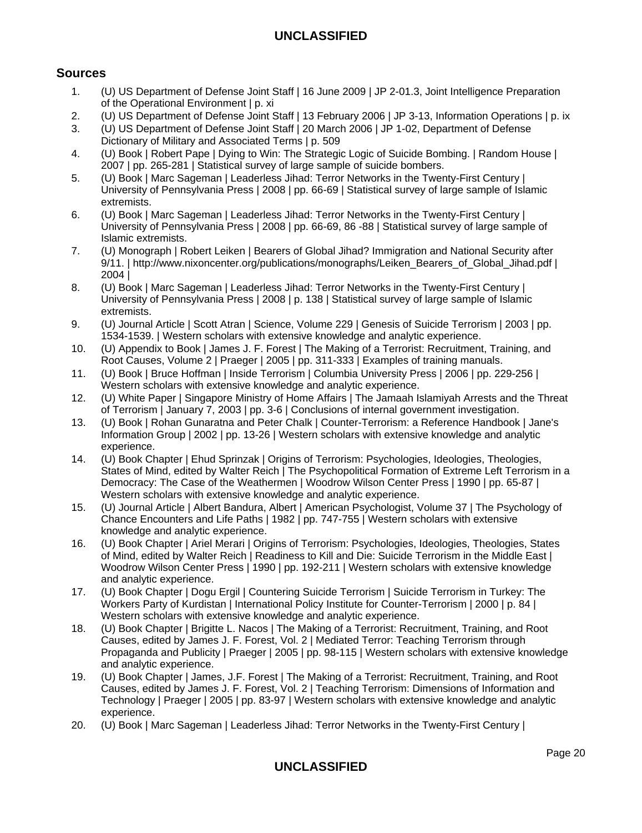# **Sources**

- 1. (U) US Department of Defense Joint Staff | 16 June 2009 | JP 2-01.3, Joint Intelligence Preparation of the Operational Environment | p. xi
- 2. (U) US Department of Defense Joint Staff | 13 February 2006 | JP 3-13, Information Operations | p. ix
- 3. (U) US Department of Defense Joint Staff | 20 March 2006 | JP 1-02, Department of Defense Dictionary of Military and Associated Terms | p. 509
- 4. (U) Book | Robert Pape | Dying to Win: The Strategic Logic of Suicide Bombing. | Random House | 2007 | pp. 265-281 | Statistical survey of large sample of suicide bombers.
- 5. (U) Book | Marc Sageman | Leaderless Jihad: Terror Networks in the Twenty-First Century | University of Pennsylvania Press | 2008 | pp. 66-69 | Statistical survey of large sample of Islamic extremists.
- 6. (U) Book | Marc Sageman | Leaderless Jihad: Terror Networks in the Twenty-First Century | University of Pennsylvania Press | 2008 | pp. 66-69, 86 -88 | Statistical survey of large sample of Islamic extremists.
- 7. (U) Monograph | Robert Leiken | Bearers of Global Jihad? Immigration and National Security after 9/11. | http://www.nixoncenter.org/publications/monographs/Leiken\_Bearers\_of\_Global\_Jihad.pdf | 2004 |
- 8. (U) Book | Marc Sageman | Leaderless Jihad: Terror Networks in the Twenty-First Century | University of Pennsylvania Press | 2008 | p. 138 | Statistical survey of large sample of Islamic extremists.
- 9. (U) Journal Article | Scott Atran | Science, Volume 229 | Genesis of Suicide Terrorism | 2003 | pp. 1534-1539. | Western scholars with extensive knowledge and analytic experience.
- 10. (U) Appendix to Book | James J. F. Forest | The Making of a Terrorist: Recruitment, Training, and Root Causes, Volume 2 | Praeger | 2005 | pp. 311-333 | Examples of training manuals.
- 11. (U) Book | Bruce Hoffman | Inside Terrorism | Columbia University Press | 2006 | pp. 229-256 | Western scholars with extensive knowledge and analytic experience.
- 12. (U) White Paper | Singapore Ministry of Home Affairs | The Jamaah Islamiyah Arrests and the Threat of Terrorism | January 7, 2003 | pp. 3-6 | Conclusions of internal government investigation.
- 13. (U) Book | Rohan Gunaratna and Peter Chalk | Counter-Terrorism: a Reference Handbook | Jane's Information Group | 2002 | pp. 13-26 | Western scholars with extensive knowledge and analytic experience.
- 14. (U) Book Chapter | Ehud Sprinzak | Origins of Terrorism: Psychologies, Ideologies, Theologies, States of Mind, edited by Walter Reich | The Psychopolitical Formation of Extreme Left Terrorism in a Democracy: The Case of the Weathermen | Woodrow Wilson Center Press | 1990 | pp. 65-87 | Western scholars with extensive knowledge and analytic experience.
- 15. (U) Journal Article | Albert Bandura, Albert | American Psychologist, Volume 37 | The Psychology of Chance Encounters and Life Paths | 1982 | pp. 747-755 | Western scholars with extensive knowledge and analytic experience.
- 16. (U) Book Chapter | Ariel Merari | Origins of Terrorism: Psychologies, Ideologies, Theologies, States of Mind, edited by Walter Reich | Readiness to Kill and Die: Suicide Terrorism in the Middle East | Woodrow Wilson Center Press | 1990 | pp. 192-211 | Western scholars with extensive knowledge and analytic experience.
- 17. (U) Book Chapter | Dogu Ergil | Countering Suicide Terrorism | Suicide Terrorism in Turkey: The Workers Party of Kurdistan | International Policy Institute for Counter-Terrorism | 2000 | p. 84 | Western scholars with extensive knowledge and analytic experience.
- 18. (U) Book Chapter | Brigitte L. Nacos | The Making of a Terrorist: Recruitment, Training, and Root Causes, edited by James J. F. Forest, Vol. 2 | Mediated Terror: Teaching Terrorism through Propaganda and Publicity | Praeger | 2005 | pp. 98-115 | Western scholars with extensive knowledge and analytic experience.
- 19. (U) Book Chapter | James, J.F. Forest | The Making of a Terrorist: Recruitment, Training, and Root Causes, edited by James J. F. Forest, Vol. 2 | Teaching Terrorism: Dimensions of Information and Technology | Praeger | 2005 | pp. 83-97 | Western scholars with extensive knowledge and analytic experience.
- 20. (U) Book | Marc Sageman | Leaderless Jihad: Terror Networks in the Twenty-First Century |

# **UNCLASSIFIED**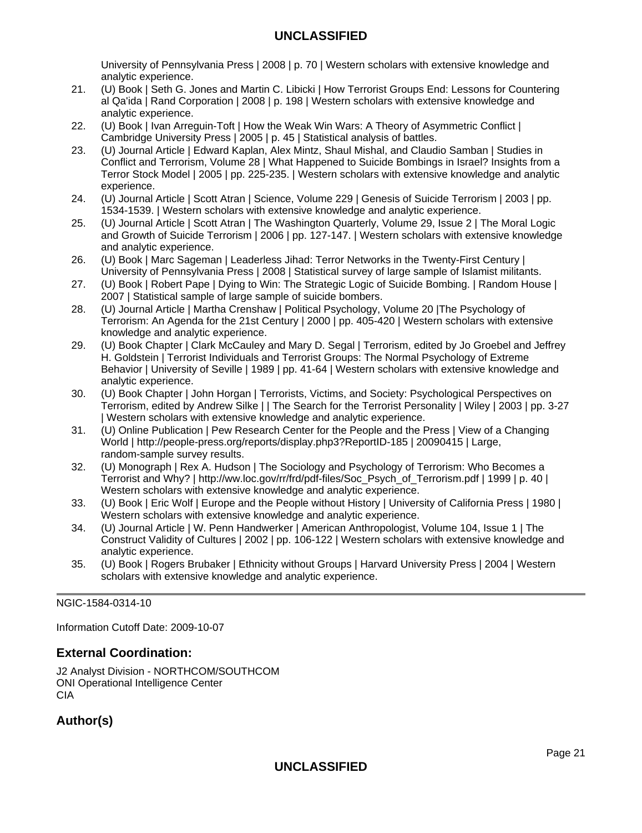University of Pennsylvania Press | 2008 | p. 70 | Western scholars with extensive knowledge and analytic experience.

- 21. (U) Book | Seth G. Jones and Martin C. Libicki | How Terrorist Groups End: Lessons for Countering al Qa'ida | Rand Corporation | 2008 | p. 198 | Western scholars with extensive knowledge and analytic experience.
- 22. (U) Book | Ivan Arreguin-Toft | How the Weak Win Wars: A Theory of Asymmetric Conflict | Cambridge University Press | 2005 | p. 45 | Statistical analysis of battles.
- 23. (U) Journal Article | Edward Kaplan, Alex Mintz, Shaul Mishal, and Claudio Samban | Studies in Conflict and Terrorism, Volume 28 | What Happened to Suicide Bombings in Israel? Insights from a Terror Stock Model | 2005 | pp. 225-235. | Western scholars with extensive knowledge and analytic experience.
- 24. (U) Journal Article | Scott Atran | Science, Volume 229 | Genesis of Suicide Terrorism | 2003 | pp. 1534-1539. | Western scholars with extensive knowledge and analytic experience.
- 25. (U) Journal Article | Scott Atran | The Washington Quarterly, Volume 29, Issue 2 | The Moral Logic and Growth of Suicide Terrorism | 2006 | pp. 127-147. | Western scholars with extensive knowledge and analytic experience.
- 26. (U) Book | Marc Sageman | Leaderless Jihad: Terror Networks in the Twenty-First Century | University of Pennsylvania Press | 2008 | Statistical survey of large sample of Islamist militants.
- 27. (U) Book | Robert Pape | Dying to Win: The Strategic Logic of Suicide Bombing. | Random House | 2007 | Statistical sample of large sample of suicide bombers.
- 28. (U) Journal Article | Martha Crenshaw | Political Psychology, Volume 20 |The Psychology of Terrorism: An Agenda for the 21st Century | 2000 | pp. 405-420 | Western scholars with extensive knowledge and analytic experience.
- 29. (U) Book Chapter | Clark McCauley and Mary D. Segal | Terrorism, edited by Jo Groebel and Jeffrey H. Goldstein | Terrorist Individuals and Terrorist Groups: The Normal Psychology of Extreme Behavior | University of Seville | 1989 | pp. 41-64 | Western scholars with extensive knowledge and analytic experience.
- 30. (U) Book Chapter | John Horgan | Terrorists, Victims, and Society: Psychological Perspectives on Terrorism, edited by Andrew Silke | | The Search for the Terrorist Personality | Wiley | 2003 | pp. 3-27 | Western scholars with extensive knowledge and analytic experience.
- 31. (U) Online Publication | Pew Research Center for the People and the Press | View of a Changing World | http://people-press.org/reports/display.php3?ReportID-185 | 20090415 | Large, random-sample survey results.
- 32. (U) Monograph | Rex A. Hudson | The Sociology and Psychology of Terrorism: Who Becomes a Terrorist and Why? | http://ww.loc.gov/rr/frd/pdf-files/Soc\_Psych\_of\_Terrorism.pdf | 1999 | p. 40 | Western scholars with extensive knowledge and analytic experience.
- 33. (U) Book | Eric Wolf | Europe and the People without History | University of California Press | 1980 | Western scholars with extensive knowledge and analytic experience.
- 34. (U) Journal Article | W. Penn Handwerker | American Anthropologist, Volume 104, Issue 1 | The Construct Validity of Cultures | 2002 | pp. 106-122 | Western scholars with extensive knowledge and analytic experience.
- 35. (U) Book | Rogers Brubaker | Ethnicity without Groups | Harvard University Press | 2004 | Western scholars with extensive knowledge and analytic experience.

NGIC-1584-0314-10

Information Cutoff Date: 2009-10-07

# **External Coordination:**

J2 Analyst Division - NORTHCOM/SOUTHCOM ONI Operational Intelligence Center CIA

# **Author(s)**